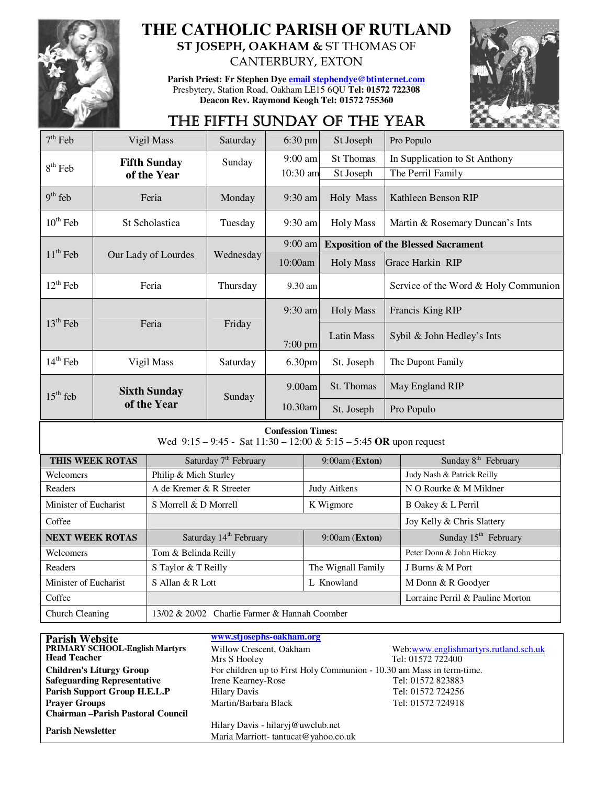

### **THE CATHOLIC PARISH OF RUTLAND ST JOSEPH, OAKHAM &** ST THOMAS OF

**Parish Priest: Fr Stephen Dye email stephendye@btinternet.com** Presbytery, Station Road, Oakham LE15 6QU **Tel: 01572 722308 Deacon Rev. Raymond Keogh Tel: 01572 755360** 

CANTERBURY, EXTON



## THE FIFTH SUNDAY OF THE YEAR

| $7th$ Feb                                                                                          | Vigil Mass          | Saturday                          | $6:30$ pm         | St Joseph                                  | Pro Populo                           |  |
|----------------------------------------------------------------------------------------------------|---------------------|-----------------------------------|-------------------|--------------------------------------------|--------------------------------------|--|
|                                                                                                    | <b>Fifth Sunday</b> | Sunday                            | $9:00$ am         | <b>St Thomas</b>                           | In Supplication to St Anthony        |  |
| $8th$ Feb                                                                                          | of the Year         |                                   | 10:30 am          | St Joseph                                  | The Perril Family                    |  |
| $9th$ feb                                                                                          | Feria               | Monday                            | $9:30$ am         | Holy Mass                                  | Kathleen Benson RIP                  |  |
| $10^{th}$ Feb                                                                                      | St Scholastica      | Tuesday                           | 9:30 am           | <b>Holy Mass</b>                           | Martin & Rosemary Duncan's Ints      |  |
|                                                                                                    |                     | $9:00$ am                         |                   | <b>Exposition of the Blessed Sacrament</b> |                                      |  |
| $11th$ Feb                                                                                         | Our Lady of Lourdes | Wednesday                         | 10:00am           | <b>Holy Mass</b>                           | Grace Harkin RIP                     |  |
| $12th$ Feb                                                                                         | Feria               | Thursday                          | 9.30 am           |                                            | Service of the Word & Holy Communion |  |
|                                                                                                    |                     |                                   | 9:30 am           | <b>Holy Mass</b>                           | Francis King RIP                     |  |
| $13th$ Feb                                                                                         | Feria               | Friday                            | $7:00 \text{ pm}$ | Latin Mass                                 | Sybil & John Hedley's Ints           |  |
| $14th$ Feb                                                                                         | Vigil Mass          | Saturday                          | 6.30pm            | St. Joseph                                 | The Dupont Family                    |  |
| $15th$ feb                                                                                         | <b>Sixth Sunday</b> | Sunday                            | 9.00am            | St. Thomas                                 | May England RIP                      |  |
|                                                                                                    | of the Year         |                                   | 10.30am           | St. Joseph                                 | Pro Populo                           |  |
| <b>Confession Times:</b><br>Wed $9:15 - 9:45 -$ Sat $11:30 - 12:00 \& 5:15 - 5:45$ OR upon request |                     |                                   |                   |                                            |                                      |  |
|                                                                                                    | THIS WEEK ROTAS     | Saturday 7 <sup>th</sup> February |                   | $9:00$ am (Exton)                          | Sunday 8 <sup>th</sup> February      |  |
|                                                                                                    |                     |                                   |                   |                                            | <b>TIMES ON PLAN 199</b>             |  |

| I FIIS WEEN KUTAS      | Saturday / February                           | 9:00am (Exton)             | Sunday 8 February                |
|------------------------|-----------------------------------------------|----------------------------|----------------------------------|
| Welcomers              | Philip & Mich Sturley                         |                            | Judy Nash & Patrick Reilly       |
| Readers                | A de Kremer & R Streeter                      | Judy Aitkens               | N O Rourke & M Mildner           |
| Minister of Eucharist  | S Morrell & D Morrell                         | K Wigmore                  | B Oakey & L Perril               |
| Coffee                 |                                               |                            | Joy Kelly & Chris Slattery       |
| <b>NEXT WEEK ROTAS</b> | Saturday 14 <sup>th</sup> February            | $9:00$ am ( <b>Exton</b> ) | Sunday $15th$ February           |
| Welcomers              | Tom & Belinda Reilly                          |                            | Peter Donn & John Hickey         |
| <b>Readers</b>         | S Taylor & T Reilly                           | The Wignall Family         | J Burns & M Port                 |
| Minister of Eucharist  | S Allan $& R$ Lott                            | L. Knowland                | M Donn & R Goodyer               |
| Coffee                 |                                               |                            | Lorraine Perril & Pauline Morton |
| Church Cleaning        | 13/02 & 20/02 Charlie Farmer & Hannah Coomber |                            |                                  |

| <b>Parish Website</b>                   | www.stjosephs-oakham.org            |                                                                       |  |  |
|-----------------------------------------|-------------------------------------|-----------------------------------------------------------------------|--|--|
| <b>PRIMARY SCHOOL-English Martyrs</b>   | Willow Crescent, Oakham             | Web:www.englishmartyrs.rutland.sch.uk                                 |  |  |
| <b>Head Teacher</b>                     | Mrs S Hooley                        | Tel: 01572 722400                                                     |  |  |
| <b>Children's Liturgy Group</b>         |                                     | For children up to First Holy Communion - 10.30 am Mass in term-time. |  |  |
| <b>Safeguarding Representative</b>      | Irene Kearney-Rose                  | Tel: 01572 823883                                                     |  |  |
| Parish Support Group H.E.L.P            | <b>Hilary Davis</b>                 | Tel: 01572 724256                                                     |  |  |
| <b>Praver Groups</b>                    | Martin/Barbara Black                | Tel: 01572 724918                                                     |  |  |
| <b>Chairman-Parish Pastoral Council</b> |                                     |                                                                       |  |  |
| <b>Parish Newsletter</b>                | Hilary Davis - hilaryj@uwclub.net   |                                                                       |  |  |
|                                         | Maria Marriott-tantucat@yahoo.co.uk |                                                                       |  |  |